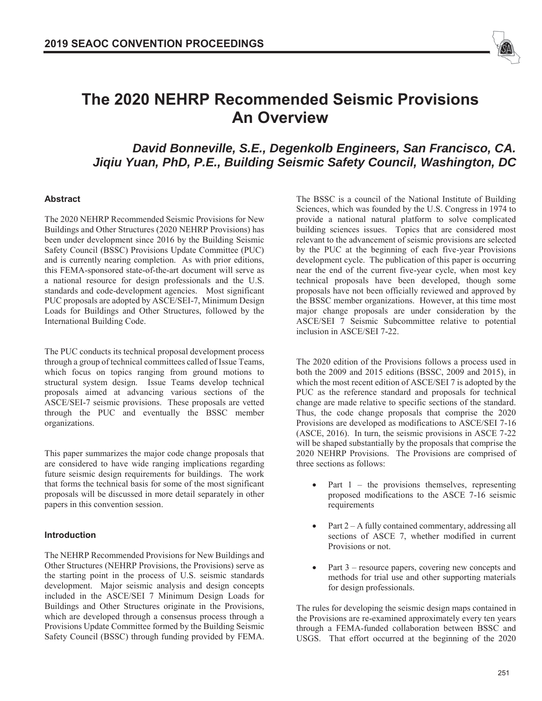

# **The 2020 NEHRP Recommended Seismic Provisions An Overview**

# *David Bonneville, S.E., Degenkolb Engineers, San Francisco, CA. Jiqiu Yuan, PhD, P.E., Building Seismic Safety Council, Washington, DC*

### **Abstract**

The 2020 NEHRP Recommended Seismic Provisions for New Buildings and Other Structures (2020 NEHRP Provisions) has been under development since 2016 by the Building Seismic Safety Council (BSSC) Provisions Update Committee (PUC) and is currently nearing completion. As with prior editions, this FEMA-sponsored state-of-the-art document will serve as a national resource for design professionals and the U.S. standards and code-development agencies. Most significant PUC proposals are adopted by ASCE/SEI-7, Minimum Design Loads for Buildings and Other Structures, followed by the International Building Code.

The PUC conducts its technical proposal development process through a group of technical committees called of Issue Teams, which focus on topics ranging from ground motions to structural system design. Issue Teams develop technical proposals aimed at advancing various sections of the ASCE/SEI-7 seismic provisions. These proposals are vetted through the PUC and eventually the BSSC member organizations.

This paper summarizes the major code change proposals that are considered to have wide ranging implications regarding future seismic design requirements for buildings. The work that forms the technical basis for some of the most significant proposals will be discussed in more detail separately in other papers in this convention session.

### **Introduction**

The NEHRP Recommended Provisions for New Buildings and Other Structures (NEHRP Provisions, the Provisions) serve as the starting point in the process of U.S. seismic standards development. Major seismic analysis and design concepts included in the ASCE/SEI 7 Minimum Design Loads for Buildings and Other Structures originate in the Provisions, which are developed through a consensus process through a Provisions Update Committee formed by the Building Seismic Safety Council (BSSC) through funding provided by FEMA.

The BSSC is a council of the National Institute of Building Sciences, which was founded by the U.S. Congress in 1974 to provide a national natural platform to solve complicated building sciences issues. Topics that are considered most relevant to the advancement of seismic provisions are selected by the PUC at the beginning of each five-year Provisions development cycle. The publication of this paper is occurring near the end of the current five-year cycle, when most key technical proposals have been developed, though some proposals have not been officially reviewed and approved by the BSSC member organizations. However, at this time most major change proposals are under consideration by the ASCE/SEI 7 Seismic Subcommittee relative to potential inclusion in ASCE/SEI 7-22.

The 2020 edition of the Provisions follows a process used in both the 2009 and 2015 editions (BSSC, 2009 and 2015), in which the most recent edition of ASCE/SEI 7 is adopted by the PUC as the reference standard and proposals for technical change are made relative to specific sections of the standard. Thus, the code change proposals that comprise the 2020 Provisions are developed as modifications to ASCE/SEI 7-16 (ASCE, 2016). In turn, the seismic provisions in ASCE 7-22 will be shaped substantially by the proposals that comprise the 2020 NEHRP Provisions. The Provisions are comprised of three sections as follows:

- Part  $1$  the provisions themselves, representing proposed modifications to the ASCE 7-16 seismic requirements
- Part  $2 A$  fully contained commentary, addressing all sections of ASCE 7, whether modified in current Provisions or not.
- Part 3 resource papers, covering new concepts and methods for trial use and other supporting materials for design professionals.

The rules for developing the seismic design maps contained in the Provisions are re-examined approximately every ten years through a FEMA-funded collaboration between BSSC and USGS. That effort occurred at the beginning of the 2020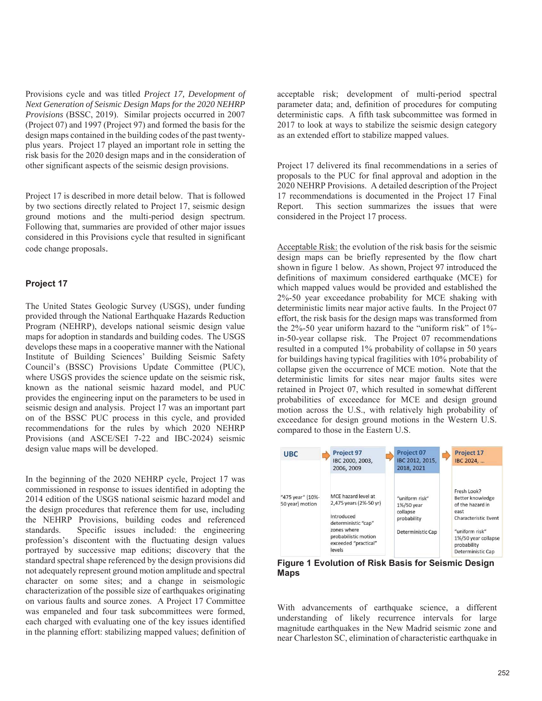Provisions cycle and was titled *Project 17, Development of Next Generation of Seismic Design Maps for the 2020 NEHRP Provisions* (BSSC, 2019). Similar projects occurred in 2007 (Project 07) and 1997 (Project 97) and formed the basis for the design maps contained in the building codes of the past twentyplus years. Project 17 played an important role in setting the risk basis for the 2020 design maps and in the consideration of other significant aspects of the seismic design provisions.

Project 17 is described in more detail below. That is followed by two sections directly related to Project 17, seismic design ground motions and the multi-period design spectrum. Following that, summaries are provided of other major issues considered in this Provisions cycle that resulted in significant code change proposals.

#### **Project 17**

The United States Geologic Survey (USGS), under funding provided through the National Earthquake Hazards Reduction Program (NEHRP), develops national seismic design value maps for adoption in standards and building codes. The USGS develops these maps in a cooperative manner with the National Institute of Building Sciences' Building Seismic Safety Council's (BSSC) Provisions Update Committee (PUC), where USGS provides the science update on the seismic risk, known as the national seismic hazard model, and PUC provides the engineering input on the parameters to be used in seismic design and analysis. Project 17 was an important part on of the BSSC PUC process in this cycle, and provided recommendations for the rules by which 2020 NEHRP Provisions (and ASCE/SEI 7-22 and IBC-2024) seismic design value maps will be developed.

In the beginning of the 2020 NEHRP cycle, Project 17 was commissioned in response to issues identified in adopting the 2014 edition of the USGS national seismic hazard model and the design procedures that reference them for use, including the NEHRP Provisions, building codes and referenced standards. Specific issues included: the engineering profession's discontent with the fluctuating design values portrayed by successive map editions; discovery that the standard spectral shape referenced by the design provisions did not adequately represent ground motion amplitude and spectral character on some sites; and a change in seismologic characterization of the possible size of earthquakes originating on various faults and source zones. A Project 17 Committee was empaneled and four task subcommittees were formed, each charged with evaluating one of the key issues identified in the planning effort: stabilizing mapped values; definition of acceptable risk; development of multi-period spectral parameter data; and, definition of procedures for computing deterministic caps. A fifth task subcommittee was formed in 2017 to look at ways to stabilize the seismic design category as an extended effort to stabilize mapped values.

Project 17 delivered its final recommendations in a series of proposals to the PUC for final approval and adoption in the 2020 NEHRP Provisions. A detailed description of the Project 17 recommendations is documented in the Project 17 Final Report. This section summarizes the issues that were considered in the Project 17 process.

Acceptable Risk: the evolution of the risk basis for the seismic design maps can be briefly represented by the flow chart shown in figure 1 below. As shown, Project 97 introduced the definitions of maximum considered earthquake (MCE) for which mapped values would be provided and established the 2%-50 year exceedance probability for MCE shaking with deterministic limits near major active faults. In the Project 07 effort, the risk basis for the design maps was transformed from the 2%-50 year uniform hazard to the "uniform risk" of 1% in-50-year collapse risk. The Project 07 recommendations resulted in a computed 1% probability of collapse in 50 years for buildings having typical fragilities with 10% probability of collapse given the occurrence of MCE motion. Note that the deterministic limits for sites near major faults sites were retained in Project 07, which resulted in somewhat different probabilities of exceedance for MCE and design ground motion across the U.S., with relatively high probability of exceedance for design ground motions in the Western U.S. compared to those in the Eastern U.S.



**Figure 1 Evolution of Risk Basis for Seismic Design Maps**

With advancements of earthquake science, a different understanding of likely recurrence intervals for large magnitude earthquakes in the New Madrid seismic zone and near Charleston SC, elimination of characteristic earthquake in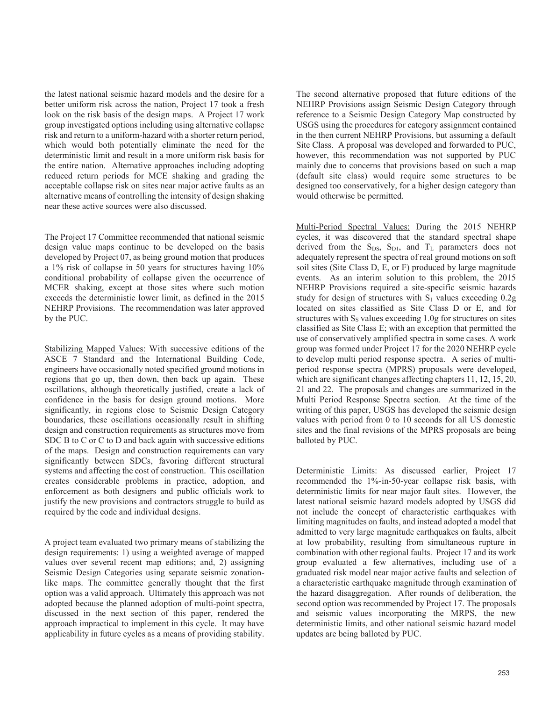the latest national seismic hazard models and the desire for a better uniform risk across the nation, Project 17 took a fresh look on the risk basis of the design maps. A Project 17 work group investigated options including using alternative collapse risk and return to a uniform-hazard with a shorter return period, which would both potentially eliminate the need for the deterministic limit and result in a more uniform risk basis for the entire nation. Alternative approaches including adopting reduced return periods for MCE shaking and grading the acceptable collapse risk on sites near major active faults as an alternative means of controlling the intensity of design shaking near these active sources were also discussed.

The Project 17 Committee recommended that national seismic design value maps continue to be developed on the basis developed by Project 07, as being ground motion that produces a 1% risk of collapse in 50 years for structures having 10% conditional probability of collapse given the occurrence of MCER shaking, except at those sites where such motion exceeds the deterministic lower limit, as defined in the 2015 NEHRP Provisions. The recommendation was later approved by the PUC.

Stabilizing Mapped Values: With successive editions of the ASCE 7 Standard and the International Building Code, engineers have occasionally noted specified ground motions in regions that go up, then down, then back up again. These oscillations, although theoretically justified, create a lack of confidence in the basis for design ground motions. More significantly, in regions close to Seismic Design Category boundaries, these oscillations occasionally result in shifting design and construction requirements as structures move from SDC B to C or C to D and back again with successive editions of the maps. Design and construction requirements can vary significantly between SDCs, favoring different structural systems and affecting the cost of construction. This oscillation creates considerable problems in practice, adoption, and enforcement as both designers and public officials work to justify the new provisions and contractors struggle to build as required by the code and individual designs.

A project team evaluated two primary means of stabilizing the design requirements: 1) using a weighted average of mapped values over several recent map editions; and, 2) assigning Seismic Design Categories using separate seismic zonationlike maps. The committee generally thought that the first option was a valid approach. Ultimately this approach was not adopted because the planned adoption of multi-point spectra, discussed in the next section of this paper, rendered the approach impractical to implement in this cycle. It may have applicability in future cycles as a means of providing stability.

The second alternative proposed that future editions of the NEHRP Provisions assign Seismic Design Category through reference to a Seismic Design Category Map constructed by USGS using the procedures for category assignment contained in the then current NEHRP Provisions, but assuming a default Site Class. A proposal was developed and forwarded to PUC, however, this recommendation was not supported by PUC mainly due to concerns that provisions based on such a map (default site class) would require some structures to be designed too conservatively, for a higher design category than would otherwise be permitted.

Multi-Period Spectral Values: During the 2015 NEHRP cycles, it was discovered that the standard spectral shape derived from the  $S_{DS}$ ,  $S_{D1}$ , and  $T_L$  parameters does not adequately represent the spectra of real ground motions on soft soil sites (Site Class D, E, or F) produced by large magnitude events. As an interim solution to this problem, the 2015 NEHRP Provisions required a site-specific seismic hazards study for design of structures with  $S_1$  values exceeding 0.2g located on sites classified as Site Class D or E, and for structures with  $S_S$  values exceeding 1.0g for structures on sites classified as Site Class E; with an exception that permitted the use of conservatively amplified spectra in some cases. A work group was formed under Project 17 for the 2020 NEHRP cycle to develop multi period response spectra. A series of multiperiod response spectra (MPRS) proposals were developed, which are significant changes affecting chapters 11, 12, 15, 20, 21 and 22. The proposals and changes are summarized in the Multi Period Response Spectra section. At the time of the writing of this paper, USGS has developed the seismic design values with period from 0 to 10 seconds for all US domestic sites and the final revisions of the MPRS proposals are being balloted by PUC.

Deterministic Limits: As discussed earlier, Project 17 recommended the 1%-in-50-year collapse risk basis, with deterministic limits for near major fault sites. However, the latest national seismic hazard models adopted by USGS did not include the concept of characteristic earthquakes with limiting magnitudes on faults, and instead adopted a model that admitted to very large magnitude earthquakes on faults, albeit at low probability, resulting from simultaneous rupture in combination with other regional faults. Project 17 and its work group evaluated a few alternatives, including use of a graduated risk model near major active faults and selection of a characteristic earthquake magnitude through examination of the hazard disaggregation. After rounds of deliberation, the second option was recommended by Project 17. The proposals and seismic values incorporating the MRPS, the new deterministic limits, and other national seismic hazard model updates are being balloted by PUC.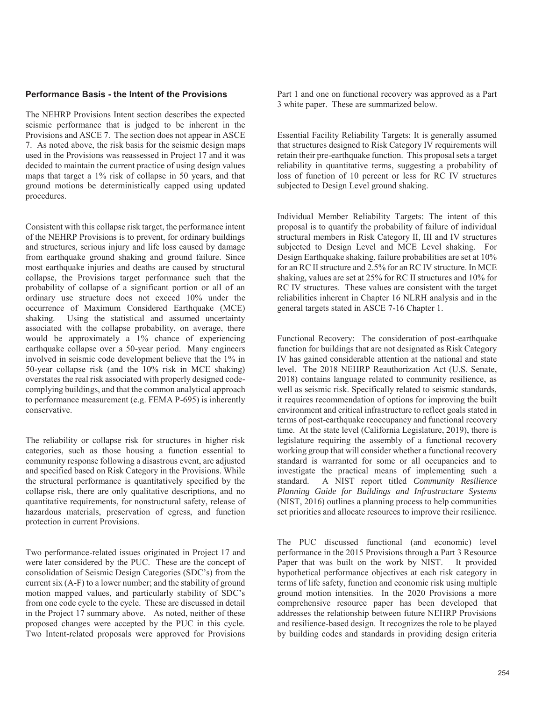#### **Performance Basis - the Intent of the Provisions**

The NEHRP Provisions Intent section describes the expected seismic performance that is judged to be inherent in the Provisions and ASCE 7. The section does not appear in ASCE 7. As noted above, the risk basis for the seismic design maps used in the Provisions was reassessed in Project 17 and it was decided to maintain the current practice of using design values maps that target a 1% risk of collapse in 50 years, and that ground motions be deterministically capped using updated procedures.

Consistent with this collapse risk target, the performance intent of the NEHRP Provisions is to prevent, for ordinary buildings and structures, serious injury and life loss caused by damage from earthquake ground shaking and ground failure. Since most earthquake injuries and deaths are caused by structural collapse, the Provisions target performance such that the probability of collapse of a significant portion or all of an ordinary use structure does not exceed 10% under the occurrence of Maximum Considered Earthquake (MCE) shaking. Using the statistical and assumed uncertainty associated with the collapse probability, on average, there would be approximately a 1% chance of experiencing earthquake collapse over a 50-year period. Many engineers involved in seismic code development believe that the 1% in 50-year collapse risk (and the 10% risk in MCE shaking) overstates the real risk associated with properly designed codecomplying buildings, and that the common analytical approach to performance measurement (e.g. FEMA P-695) is inherently conservative.

The reliability or collapse risk for structures in higher risk categories, such as those housing a function essential to community response following a disastrous event, are adjusted and specified based on Risk Category in the Provisions. While the structural performance is quantitatively specified by the collapse risk, there are only qualitative descriptions, and no quantitative requirements, for nonstructural safety, release of hazardous materials, preservation of egress, and function protection in current Provisions.

Two performance-related issues originated in Project 17 and were later considered by the PUC. These are the concept of consolidation of Seismic Design Categories (SDC's) from the current six (A-F) to a lower number; and the stability of ground motion mapped values, and particularly stability of SDC's from one code cycle to the cycle. These are discussed in detail in the Project 17 summary above. As noted, neither of these proposed changes were accepted by the PUC in this cycle. Two Intent-related proposals were approved for Provisions Part 1 and one on functional recovery was approved as a Part 3 white paper. These are summarized below.

Essential Facility Reliability Targets: It is generally assumed that structures designed to Risk Category IV requirements will retain their pre-earthquake function. This proposal sets a target reliability in quantitative terms, suggesting a probability of loss of function of 10 percent or less for RC IV structures subjected to Design Level ground shaking.

Individual Member Reliability Targets: The intent of this proposal is to quantify the probability of failure of individual structural members in Risk Category II, III and IV structures subjected to Design Level and MCE Level shaking. For Design Earthquake shaking, failure probabilities are set at 10% for an RC II structure and 2.5% for an RC IV structure. In MCE shaking, values are set at 25% for RC II structures and 10% for RC IV structures. These values are consistent with the target reliabilities inherent in Chapter 16 NLRH analysis and in the general targets stated in ASCE 7-16 Chapter 1.

Functional Recovery: The consideration of post-earthquake function for buildings that are not designated as Risk Category IV has gained considerable attention at the national and state level. The 2018 NEHRP Reauthorization Act (U.S. Senate, 2018) contains language related to community resilience, as well as seismic risk. Specifically related to seismic standards, it requires recommendation of options for improving the built environment and critical infrastructure to reflect goals stated in terms of post-earthquake reoccupancy and functional recovery time. At the state level (California Legislature, 2019), there is legislature requiring the assembly of a functional recovery working group that will consider whether a functional recovery standard is warranted for some or all occupancies and to investigate the practical means of implementing such a standard. A NIST report titled *Community Resilience Planning Guide for Buildings and Infrastructure Systems* (NIST, 2016) outlines a planning process to help communities set priorities and allocate resources to improve their resilience.

The PUC discussed functional (and economic) level performance in the 2015 Provisions through a Part 3 Resource Paper that was built on the work by NIST. It provided hypothetical performance objectives at each risk category in terms of life safety, function and economic risk using multiple ground motion intensities. In the 2020 Provisions a more comprehensive resource paper has been developed that addresses the relationship between future NEHRP Provisions and resilience-based design. It recognizes the role to be played by building codes and standards in providing design criteria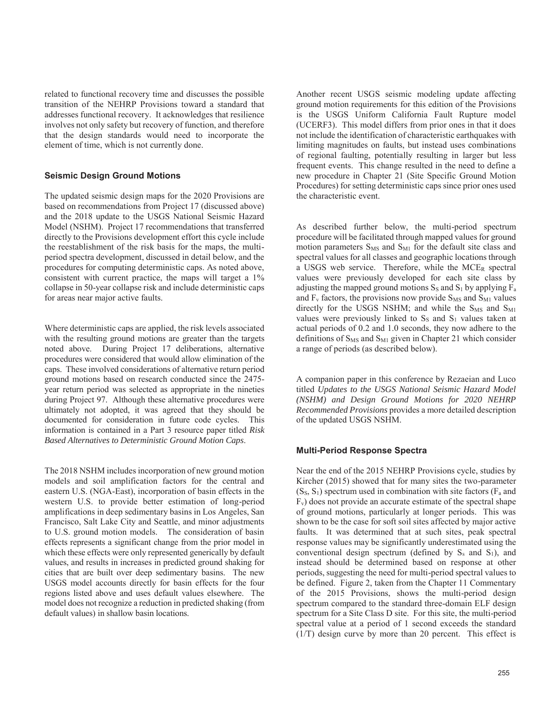related to functional recovery time and discusses the possible transition of the NEHRP Provisions toward a standard that addresses functional recovery. It acknowledges that resilience involves not only safety but recovery of function, and therefore that the design standards would need to incorporate the element of time, which is not currently done.

### **Seismic Design Ground Motions**

The updated seismic design maps for the 2020 Provisions are based on recommendations from Project 17 (discussed above) and the 2018 update to the USGS National Seismic Hazard Model (NSHM). Project 17 recommendations that transferred directly to the Provisions development effort this cycle include the reestablishment of the risk basis for the maps, the multiperiod spectra development, discussed in detail below, and the procedures for computing deterministic caps. As noted above, consistent with current practice, the maps will target a 1% collapse in 50-year collapse risk and include deterministic caps for areas near major active faults.

Where deterministic caps are applied, the risk levels associated with the resulting ground motions are greater than the targets noted above. During Project 17 deliberations, alternative procedures were considered that would allow elimination of the caps. These involved considerations of alternative return period ground motions based on research conducted since the 2475 year return period was selected as appropriate in the nineties during Project 97. Although these alternative procedures were ultimately not adopted, it was agreed that they should be documented for consideration in future code cycles. This information is contained in a Part 3 resource paper titled *Risk Based Alternatives to Deterministic Ground Motion Caps*.

The 2018 NSHM includes incorporation of new ground motion models and soil amplification factors for the central and eastern U.S. (NGA-East), incorporation of basin effects in the western U.S. to provide better estimation of long-period amplifications in deep sedimentary basins in Los Angeles, San Francisco, Salt Lake City and Seattle, and minor adjustments to U.S. ground motion models. The consideration of basin effects represents a significant change from the prior model in which these effects were only represented generically by default values, and results in increases in predicted ground shaking for cities that are built over deep sedimentary basins. The new USGS model accounts directly for basin effects for the four regions listed above and uses default values elsewhere. The model does not recognize a reduction in predicted shaking (from default values) in shallow basin locations.

Another recent USGS seismic modeling update affecting ground motion requirements for this edition of the Provisions is the USGS Uniform California Fault Rupture model (UCERF3). This model differs from prior ones in that it does not include the identification of characteristic earthquakes with limiting magnitudes on faults, but instead uses combinations of regional faulting, potentially resulting in larger but less frequent events. This change resulted in the need to define a new procedure in Chapter 21 (Site Specific Ground Motion Procedures) for setting deterministic caps since prior ones used the characteristic event.

As described further below, the multi-period spectrum procedure will be facilitated through mapped values for ground motion parameters  $S_{MS}$  and  $S_{M1}$  for the default site class and spectral values for all classes and geographic locations through a USGS web service. Therefore, while the MCE<sub>R</sub> spectral values were previously developed for each site class by adjusting the mapped ground motions  $S_S$  and  $S_1$  by applying  $F_a$ and  $F_v$  factors, the provisions now provide  $S_{MS}$  and  $S_{M1}$  values directly for the USGS NSHM; and while the  $S_{MS}$  and  $S_{M1}$ values were previously linked to  $S<sub>S</sub>$  and  $S<sub>1</sub>$  values taken at actual periods of 0.2 and 1.0 seconds, they now adhere to the definitions of  $S_{MS}$  and  $S_{M1}$  given in Chapter 21 which consider a range of periods (as described below).

A companion paper in this conference by Rezaeian and Luco titled *Updates to the USGS National Seismic Hazard Model (NSHM) and Design Ground Motions for 2020 NEHRP Recommended Provisions* provides a more detailed description of the updated USGS NSHM.

# **Multi-Period Response Spectra**

Near the end of the 2015 NEHRP Provisions cycle, studies by Kircher (2015) showed that for many sites the two-parameter  $(S<sub>S</sub>, S<sub>1</sub>)$  spectrum used in combination with site factors ( $F<sub>a</sub>$  and  $F_v$ ) does not provide an accurate estimate of the spectral shape of ground motions, particularly at longer periods. This was shown to be the case for soft soil sites affected by major active faults. It was determined that at such sites, peak spectral response values may be significantly underestimated using the conventional design spectrum (defined by  $S_s$  and  $S_1$ ), and instead should be determined based on response at other periods, suggesting the need for multi-period spectral values to be defined. Figure 2, taken from the Chapter 11 Commentary of the 2015 Provisions, shows the multi-period design spectrum compared to the standard three-domain ELF design spectrum for a Site Class D site. For this site, the multi-period spectral value at a period of 1 second exceeds the standard (1/T) design curve by more than 20 percent. This effect is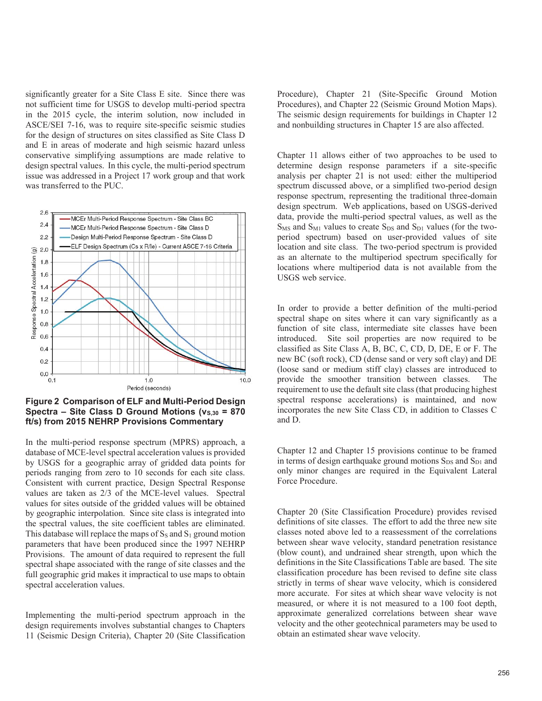significantly greater for a Site Class E site. Since there was not sufficient time for USGS to develop multi-period spectra in the 2015 cycle, the interim solution, now included in ASCE/SEI 7-16, was to require site-specific seismic studies for the design of structures on sites classified as Site Class D and E in areas of moderate and high seismic hazard unless conservative simplifying assumptions are made relative to design spectral values. In this cycle, the multi-period spectrum issue was addressed in a Project 17 work group and that work was transferred to the PUC.



**Figure 2 Comparison of ELF and Multi-Period Design Spectra – Site Class D Ground Motions (v<sub>S,30</sub> = 870 ft/s) from 2015 NEHRP Provisions Commentary** 

In the multi-period response spectrum (MPRS) approach, a database of MCE-level spectral acceleration values is provided by USGS for a geographic array of gridded data points for periods ranging from zero to 10 seconds for each site class. Consistent with current practice, Design Spectral Response values are taken as 2/3 of the MCE-level values. Spectral values for sites outside of the gridded values will be obtained by geographic interpolation. Since site class is integrated into the spectral values, the site coefficient tables are eliminated. This database will replace the maps of  $S<sub>S</sub>$  and  $S<sub>1</sub>$  ground motion parameters that have been produced since the 1997 NEHRP Provisions. The amount of data required to represent the full spectral shape associated with the range of site classes and the full geographic grid makes it impractical to use maps to obtain spectral acceleration values.

Implementing the multi-period spectrum approach in the design requirements involves substantial changes to Chapters 11 (Seismic Design Criteria), Chapter 20 (Site Classification

Procedure), Chapter 21 (Site-Specific Ground Motion Procedures), and Chapter 22 (Seismic Ground Motion Maps). The seismic design requirements for buildings in Chapter 12 and nonbuilding structures in Chapter 15 are also affected.

Chapter 11 allows either of two approaches to be used to determine design response parameters if a site-specific analysis per chapter 21 is not used: either the multiperiod spectrum discussed above, or a simplified two-period design response spectrum, representing the traditional three-domain design spectrum. Web applications, based on USGS-derived data, provide the multi-period spectral values, as well as the  $S_{MS}$  and  $S_{M1}$  values to create  $S_{DS}$  and  $S_{D1}$  values (for the twoperiod spectrum) based on user-provided values of site location and site class. The two-period spectrum is provided as an alternate to the multiperiod spectrum specifically for locations where multiperiod data is not available from the USGS web service.

In order to provide a better definition of the multi-period spectral shape on sites where it can vary significantly as a function of site class, intermediate site classes have been introduced. Site soil properties are now required to be classified as Site Class A, B, BC, C, CD, D, DE, E or F. The new BC (soft rock), CD (dense sand or very soft clay) and DE (loose sand or medium stiff clay) classes are introduced to provide the smoother transition between classes. The requirement to use the default site class (that producing highest spectral response accelerations) is maintained, and now incorporates the new Site Class CD, in addition to Classes C and D.

Chapter 12 and Chapter 15 provisions continue to be framed in terms of design earthquake ground motions  $S_{DS}$  and  $S_{D1}$  and only minor changes are required in the Equivalent Lateral Force Procedure.

Chapter 20 (Site Classification Procedure) provides revised definitions of site classes. The effort to add the three new site classes noted above led to a reassessment of the correlations between shear wave velocity, standard penetration resistance (blow count), and undrained shear strength, upon which the definitions in the Site Classifications Table are based. The site classification procedure has been revised to define site class strictly in terms of shear wave velocity, which is considered more accurate. For sites at which shear wave velocity is not measured, or where it is not measured to a 100 foot depth, approximate generalized correlations between shear wave velocity and the other geotechnical parameters may be used to obtain an estimated shear wave velocity.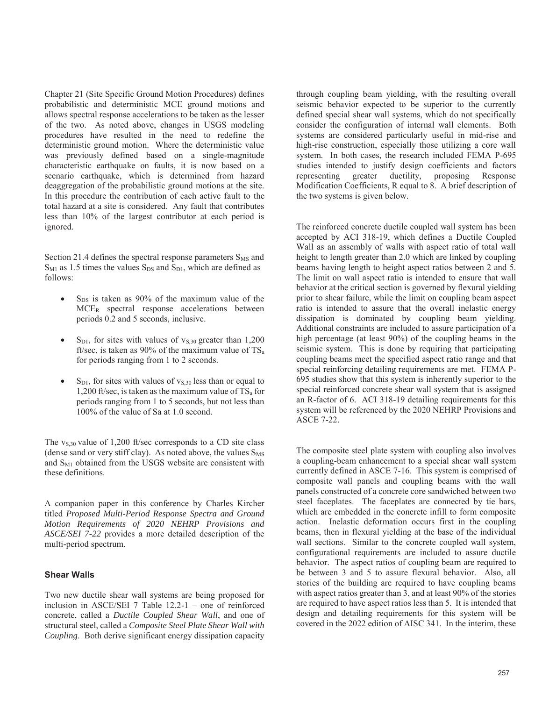Chapter 21 (Site Specific Ground Motion Procedures) defines probabilistic and deterministic MCE ground motions and allows spectral response accelerations to be taken as the lesser of the two. As noted above, changes in USGS modeling procedures have resulted in the need to redefine the deterministic ground motion. Where the deterministic value was previously defined based on a single-magnitude characteristic earthquake on faults, it is now based on a scenario earthquake, which is determined from hazard deaggregation of the probabilistic ground motions at the site. In this procedure the contribution of each active fault to the total hazard at a site is considered. Any fault that contributes less than 10% of the largest contributor at each period is ignored.

Section 21.4 defines the spectral response parameters  $S_{MS}$  and  $S_{M1}$  as 1.5 times the values  $S_{DS}$  and  $S_{D1}$ , which are defined as follows:

- $S_{DS}$  is taken as 90% of the maximum value of the MCER spectral response accelerations between periods 0.2 and 5 seconds, inclusive.
- $S<sub>D1</sub>$ , for sites with values of  $v<sub>S,30</sub>$  greater than 1,200 ft/sec, is taken as 90% of the maximum value of  $TS_a$ for periods ranging from 1 to 2 seconds.
- $S_{D1}$ , for sites with values of  $v_{S,30}$  less than or equal to 1,200 ft/sec, is taken as the maximum value of  $TS_a$  for periods ranging from 1 to 5 seconds, but not less than 100% of the value of Sa at 1.0 second.

The  $v_{S,30}$  value of 1,200 ft/sec corresponds to a CD site class (dense sand or very stiff clay). As noted above, the values  $S_{MS}$ and S<sub>M1</sub> obtained from the USGS website are consistent with these definitions.

A companion paper in this conference by Charles Kircher titled *Proposed Multi-Period Response Spectra and Ground Motion Requirements of 2020 NEHRP Provisions and ASCE/SEI 7-22* provides a more detailed description of the multi-period spectrum.

### **Shear Walls**

Two new ductile shear wall systems are being proposed for inclusion in ASCE/SEI 7 Table 12.2-1 – one of reinforced concrete, called a *Ductile Coupled Shear Wall*, and one of structural steel, called a *Composite Steel Plate Shear Wall with Coupling*. Both derive significant energy dissipation capacity

through coupling beam yielding, with the resulting overall seismic behavior expected to be superior to the currently defined special shear wall systems, which do not specifically consider the configuration of internal wall elements. Both systems are considered particularly useful in mid-rise and high-rise construction, especially those utilizing a core wall system. In both cases, the research included FEMA P-695 studies intended to justify design coefficients and factors representing greater ductility, proposing Response Modification Coefficients, R equal to 8. A brief description of the two systems is given below.

The reinforced concrete ductile coupled wall system has been accepted by ACI 318-19, which defines a Ductile Coupled Wall as an assembly of walls with aspect ratio of total wall height to length greater than 2.0 which are linked by coupling beams having length to height aspect ratios between 2 and 5. The limit on wall aspect ratio is intended to ensure that wall behavior at the critical section is governed by flexural yielding prior to shear failure, while the limit on coupling beam aspect ratio is intended to assure that the overall inelastic energy dissipation is dominated by coupling beam yielding. Additional constraints are included to assure participation of a high percentage (at least 90%) of the coupling beams in the seismic system. This is done by requiring that participating coupling beams meet the specified aspect ratio range and that special reinforcing detailing requirements are met. FEMA P-695 studies show that this system is inherently superior to the special reinforced concrete shear wall system that is assigned an R-factor of 6. ACI 318-19 detailing requirements for this system will be referenced by the 2020 NEHRP Provisions and ASCE 7-22.

The composite steel plate system with coupling also involves a coupling-beam enhancement to a special shear wall system currently defined in ASCE 7-16. This system is comprised of composite wall panels and coupling beams with the wall panels constructed of a concrete core sandwiched between two steel faceplates. The faceplates are connected by tie bars, which are embedded in the concrete infill to form composite action. Inelastic deformation occurs first in the coupling beams, then in flexural yielding at the base of the individual wall sections. Similar to the concrete coupled wall system, configurational requirements are included to assure ductile behavior. The aspect ratios of coupling beam are required to be between 3 and 5 to assure flexural behavior. Also, all stories of the building are required to have coupling beams with aspect ratios greater than 3, and at least 90% of the stories are required to have aspect ratios less than 5. It is intended that design and detailing requirements for this system will be covered in the 2022 edition of AISC 341. In the interim, these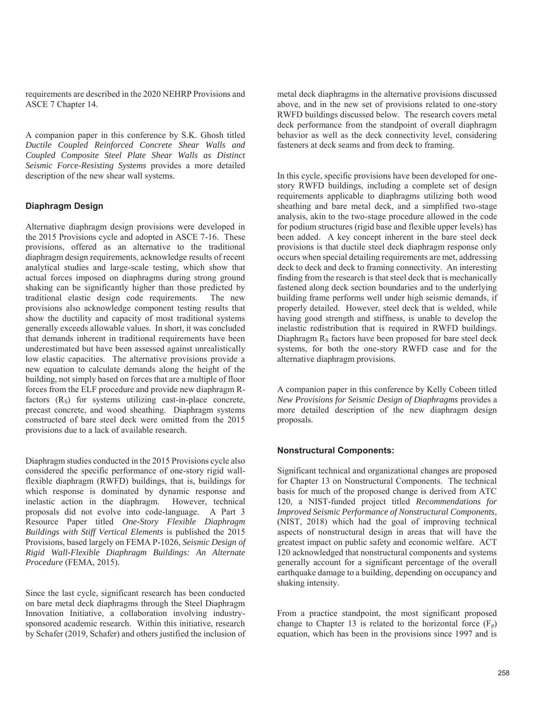requirements are described in the 2020 NEHRP Provisions and ASCE 7 Chapter 14.

A companion paper in this conference by S.K. Ghosh titled *Ductile Coupled Reinforced Concrete Shear Walls and Coupled Composite Steel Plate Shear Walls as Distinct Seismic Force-Resisting Systems* provides a more detailed description of the new shear wall systems.

### **Diaphragm Design**

Alternative diaphragm design provisions were developed in the 2015 Provisions cycle and adopted in ASCE 7-16. These provisions, offered as an alternative to the traditional diaphragm design requirements, acknowledge results of recent analytical studies and large-scale testing, which show that actual forces imposed on diaphragms during strong ground shaking can be significantly higher than those predicted by traditional elastic design code requirements. The new provisions also acknowledge component testing results that show the ductility and capacity of most traditional systems generally exceeds allowable values. In short, it was concluded that demands inherent in traditional requirements have been underestimated but have been assessed against unrealistically low elastic capacities. The alternative provisions provide a new equation to calculate demands along the height of the building, not simply based on forces that are a multiple of floor forces from the ELF procedure and provide new diaphragm Rfactors  $(R<sub>S</sub>)$  for systems utilizing cast-in-place concrete, precast concrete, and wood sheathing. Diaphragm systems constructed of bare steel deck were omitted from the 2015 provisions due to a lack of available research.

Diaphragm studies conducted in the 2015 Provisions cycle also considered the specific performance of one-story rigid wallflexible diaphragm (RWFD) buildings, that is, buildings for which response is dominated by dynamic response and inelastic action in the diaphragm. However, technical proposals did not evolve into code-language. A Part 3 Resource Paper titled *One-Story Flexible Diaphragm Buildings with Stiff Vertical Elements* is published the 2015 Provisions, based largely on FEMA P-1026, *Seismic Design of Rigid Wall-Flexible Diaphragm Buildings: An Alternate Procedure* (FEMA, 2015).

Since the last cycle, significant research has been conducted on bare metal deck diaphragms through the Steel Diaphragm Innovation Initiative, a collaboration involving industrysponsored academic research. Within this initiative, research by Schafer (2019, Schafer) and others justified the inclusion of metal deck diaphragms in the alternative provisions discussed above, and in the new set of provisions related to one-story RWFD buildings discussed below. The research covers metal deck performance from the standpoint of overall diaphragm behavior as well as the deck connectivity level, considering fasteners at deck seams and from deck to framing.

In this cycle, specific provisions have been developed for onestory RWFD buildings, including a complete set of design requirements applicable to diaphragms utilizing both wood sheathing and bare metal deck, and a simplified two-stage analysis, akin to the two-stage procedure allowed in the code for podium structures (rigid base and flexible upper levels) has been added. A key concept inherent in the bare steel deck provisions is that ductile steel deck diaphragm response only occurs when special detailing requirements are met, addressing deck to deck and deck to framing connectivity. An interesting finding from the research is that steel deck that is mechanically fastened along deck section boundaries and to the underlying building frame performs well under high seismic demands, if properly detailed. However, steel deck that is welded, while having good strength and stiffness, is unable to develop the inelastic redistribution that is required in RWFD buildings. Diaphragm  $R<sub>S</sub>$  factors have been proposed for bare steel deck systems, for both the one-story RWFD case and for the alternative diaphragm provisions.

A companion paper in this conference by Kelly Cobeen titled *New Provisions for Seismic Design of Diaphragms* provides a more detailed description of the new diaphragm design proposals.

#### **Nonstructural Components:**

Significant technical and organizational changes are proposed for Chapter 13 on Nonstructural Components. The technical basis for much of the proposed change is derived from ATC 120, a NIST-funded project titled *Recommendations for Improved Seismic Performance of Nonstructural Components*, (NIST, 2018) which had the goal of improving technical aspects of nonstructural design in areas that will have the greatest impact on public safety and economic welfare. ACT 120 acknowledged that nonstructural components and systems generally account for a significant percentage of the overall earthquake damage to a building, depending on occupancy and shaking intensity.

From a practice standpoint, the most significant proposed change to Chapter 13 is related to the horizontal force  $(F_p)$ equation, which has been in the provisions since 1997 and is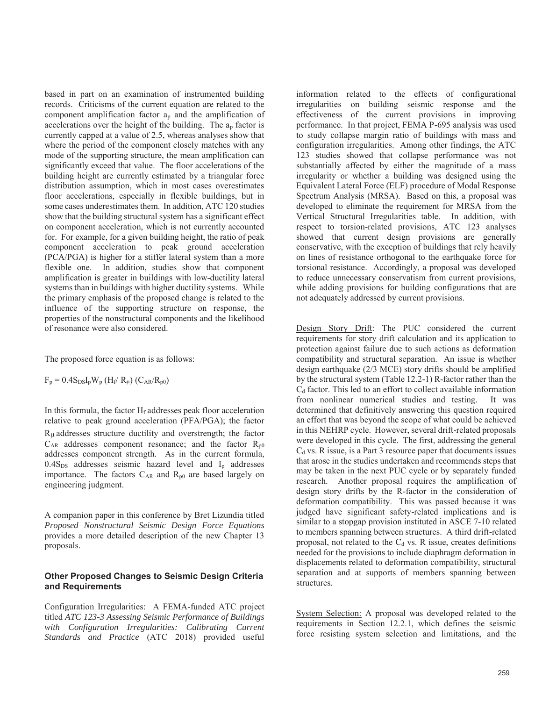based in part on an examination of instrumented building records. Criticisms of the current equation are related to the component amplification factor  $a_n$  and the amplification of accelerations over the height of the building. The ap factor is currently capped at a value of 2.5, whereas analyses show that where the period of the component closely matches with any mode of the supporting structure, the mean amplification can significantly exceed that value. The floor accelerations of the building height are currently estimated by a triangular force distribution assumption, which in most cases overestimates floor accelerations, especially in flexible buildings, but in some cases underestimates them. In addition, ATC 120 studies show that the building structural system has a significant effect on component acceleration, which is not currently accounted for. For example, for a given building height, the ratio of peak component acceleration to peak ground acceleration (PCA/PGA) is higher for a stiffer lateral system than a more flexible one. In addition, studies show that component amplification is greater in buildings with low-ductility lateral systems than in buildings with higher ductility systems. While the primary emphasis of the proposed change is related to the influence of the supporting structure on response, the properties of the nonstructural components and the likelihood of resonance were also considered.

The proposed force equation is as follows:

 $F_p = 0.4 S_{DS} I_p W_p (H_f / R_\mu) (C_{AR} / R_{p0})$ 

In this formula, the factor  $H_f$  addresses peak floor acceleration relative to peak ground acceleration (PFA/PGA); the factor  $R<sub>\mu</sub>$  addresses structure ductility and overstrength; the factor  $C_{AR}$  addresses component resonance; and the factor  $R_{p0}$ addresses component strength. As in the current formula,  $0.4S<sub>DS</sub>$  addresses seismic hazard level and  $I<sub>p</sub>$  addresses importance. The factors  $C_{AR}$  and  $R_{p0}$  are based largely on engineering judgment.

A companion paper in this conference by Bret Lizundia titled *Proposed Nonstructural Seismic Design Force Equations* provides a more detailed description of the new Chapter 13 proposals.

## **Other Proposed Changes to Seismic Design Criteria and Requirements**

Configuration Irregularities: A FEMA-funded ATC project titled *ATC 123-3 Assessing Seismic Performance of Buildings with Configuration Irregularities: Calibrating Current Standards and Practice* (ATC 2018) provided useful information related to the effects of configurational irregularities on building seismic response and the effectiveness of the current provisions in improving performance. In that project, FEMA P-695 analysis was used to study collapse margin ratio of buildings with mass and configuration irregularities. Among other findings, the ATC 123 studies showed that collapse performance was not substantially affected by either the magnitude of a mass irregularity or whether a building was designed using the Equivalent Lateral Force (ELF) procedure of Modal Response Spectrum Analysis (MRSA). Based on this, a proposal was developed to eliminate the requirement for MRSA from the Vertical Structural Irregularities table. In addition, with respect to torsion-related provisions, ATC 123 analyses showed that current design provisions are generally conservative, with the exception of buildings that rely heavily on lines of resistance orthogonal to the earthquake force for torsional resistance. Accordingly, a proposal was developed to reduce unnecessary conservatism from current provisions, while adding provisions for building configurations that are not adequately addressed by current provisions.

Design Story Drift: The PUC considered the current requirements for story drift calculation and its application to protection against failure due to such actions as deformation compatibility and structural separation. An issue is whether design earthquake (2/3 MCE) story drifts should be amplified by the structural system (Table 12.2-1) R-factor rather than the  $C_d$  factor. This led to an effort to collect available information from nonlinear numerical studies and testing. It was determined that definitively answering this question required an effort that was beyond the scope of what could be achieved in this NEHRP cycle. However, several drift-related proposals were developed in this cycle. The first, addressing the general  $C_d$  vs. R issue, is a Part 3 resource paper that documents issues that arose in the studies undertaken and recommends steps that may be taken in the next PUC cycle or by separately funded research. Another proposal requires the amplification of design story drifts by the R-factor in the consideration of deformation compatibility. This was passed because it was judged have significant safety-related implications and is similar to a stopgap provision instituted in ASCE 7-10 related to members spanning between structures. A third drift-related proposal, not related to the  $C_d$  vs. R issue, creates definitions needed for the provisions to include diaphragm deformation in displacements related to deformation compatibility, structural separation and at supports of members spanning between structures.

System Selection: A proposal was developed related to the requirements in Section 12.2.1, which defines the seismic force resisting system selection and limitations, and the